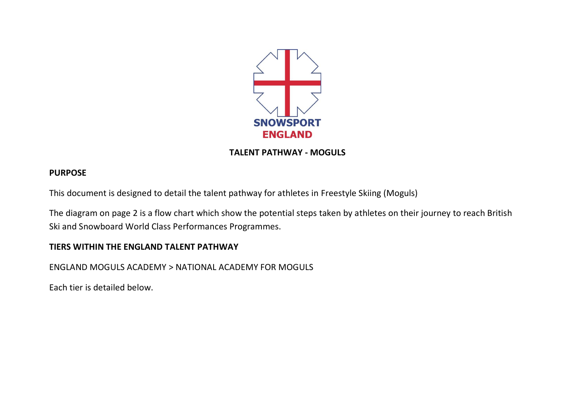

**TALENT PATHWAY - MOGULS**

# **PURPOSE**

This document is designed to detail the talent pathway for athletes in Freestyle Skiing (Moguls)

The diagram on page 2 is a flow chart which show the potential steps taken by athletes on their journey to reach British Ski and Snowboard World Class Performances Programmes.

# **TIERS WITHIN THE ENGLAND TALENT PATHWAY**

ENGLAND MOGULS ACADEMY > NATIONAL ACADEMY FOR MOGULS

Each tier is detailed below.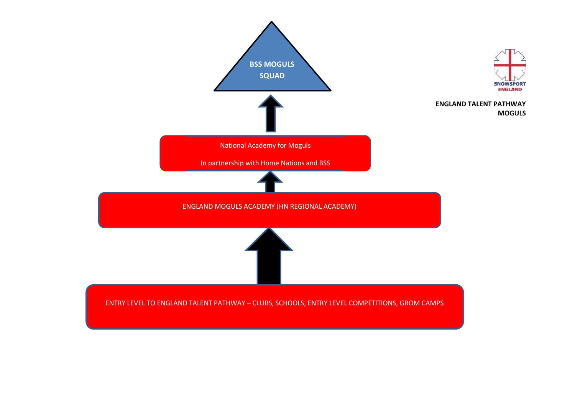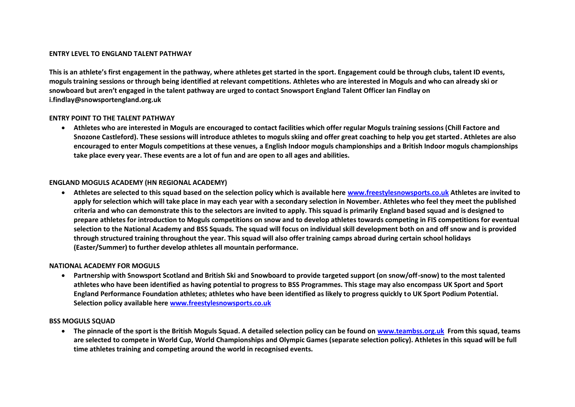### **ENTRY LEVEL TO ENGLAND TALENT PATHWAY**

**This is an athlete's first engagement in the pathway, where athletes get started in the sport. Engagement could be through clubs, talent ID events, moguls training sessions or through being identified at relevant competitions. Athletes who are interested in Moguls and who can already ski or snowboard but aren't engaged in the talent pathway are urged to contact Snowsport England Talent Officer Ian Findlay on i.findlay@snowsportengland.org.uk**

#### **ENTRY POINT TO THE TALENT PATHWAY**

 **Athletes who are interested in Moguls are encouraged to contact facilities which offer regular Moguls training sessions (Chill Factore and Snozone Castleford). These sessions will introduce athletes to moguls skiing and offer great coaching to help you get started. Athletes are also encouraged to enter Moguls competitions at these venues, a English Indoor moguls championships and a British Indoor moguls championships take place every year. These events are a lot of fun and are open to all ages and abilities.** 

#### **ENGLAND MOGULS ACADEMY (HN REGIONAL ACADEMY)**

 **Athletes are selected to this squad based on the selection policy which is available here [www.freestylesnowsports.co.uk](http://www.freestylesnowsports.co.uk/) Athletes are invited to apply for selection which will take place in may each year with a secondary selection in November. Athletes who feel they meet the published criteria and who can demonstrate this to the selectors are invited to apply. This squad is primarily England based squad and is designed to prepare athletes for introduction to Moguls competitions on snow and to develop athletes towards competing in FIS competitions for eventual selection to the National Academy and BSS Squads. The squad will focus on individual skill development both on and off snow and is provided through structured training throughout the year. This squad will also offer training camps abroad during certain school holidays (Easter/Summer) to further develop athletes all mountain performance.** 

#### **NATIONAL ACADEMY FOR MOGULS**

 **Partnership with Snowsport Scotland and British Ski and Snowboard to provide targeted support (on snow/off-snow) to the most talented athletes who have been identified as having potential to progress to BSS Programmes. This stage may also encompass UK Sport and Sport England Performance Foundation athletes; athletes who have been identified as likely to progress quickly to UK Sport Podium Potential. Selection policy available here [www.freestylesnowsports.co.uk](http://www.freestylesnowsports.co.uk/)** 

#### **BSS MOGULS SQUAD**

 **The pinnacle of the sport is the British Moguls Squad. A detailed selection policy can be found on [www.teambss.org.uk](http://www.teambss.org.uk/) From this squad, teams are selected to compete in World Cup, World Championships and Olympic Games (separate selection policy). Athletes in this squad will be full time athletes training and competing around the world in recognised events.**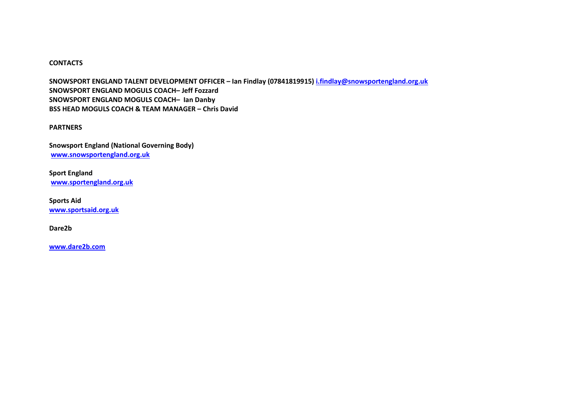## **CONTACTS**

**SNOWSPORT ENGLAND TALENT DEVELOPMENT OFFICER – Ian Findlay (07841819915) [i.findlay@snowsportengland.org.uk](mailto:i.findlay@snowsportengland.org.uk) SNOWSPORT ENGLAND MOGULS COACH– Jeff Fozzard SNOWSPORT ENGLAND MOGULS COACH– Ian Danby BSS HEAD MOGULS COACH & TEAM MANAGER – Chris David** 

**PARTNERS**

**Snowsport England (National Governing Body) [www.snowsportengland.org.uk](http://www.snowsportengland.org.uk/)**

**Sport England [www.sportengland.org.uk](http://www.sportengland.org.uk/)**

**Sports Aid [www.sportsaid.org.uk](http://www.sportsaid.org.uk/)**

**Dare2b**

**[www.dare2b.com](http://www.dare2b.com/)**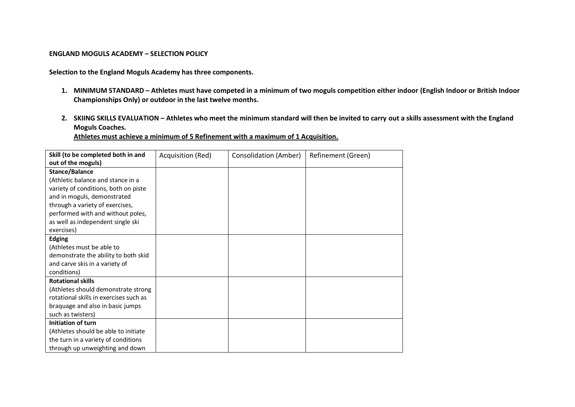#### **ENGLAND MOGULS ACADEMY – SELECTION POLICY**

**Selection to the England Moguls Academy has three components.** 

- **1. MINIMUM STANDARD – Athletes must have competed in a minimum of two moguls competition either indoor (English Indoor or British Indoor Championships Only) or outdoor in the last twelve months.**
- **2. SKIING SKILLS EVALUATION – Athletes who meet the minimum standard will then be invited to carry out a skills assessment with the England Moguls Coaches.**

**Athletes must achieve a minimum of 5 Refinement with a maximum of 1 Acquisition.** 

| Skill (to be completed both in and     | Acquisition (Red) | Consolidation (Amber) | Refinement (Green) |
|----------------------------------------|-------------------|-----------------------|--------------------|
| out of the moguls)                     |                   |                       |                    |
| Stance/Balance                         |                   |                       |                    |
| (Athletic balance and stance in a      |                   |                       |                    |
| variety of conditions, both on piste   |                   |                       |                    |
| and in moguls, demonstrated            |                   |                       |                    |
| through a variety of exercises,        |                   |                       |                    |
| performed with and without poles,      |                   |                       |                    |
| as well as independent single ski      |                   |                       |                    |
| exercises)                             |                   |                       |                    |
| <b>Edging</b>                          |                   |                       |                    |
| (Athletes must be able to              |                   |                       |                    |
| demonstrate the ability to both skid   |                   |                       |                    |
| and carve skis in a variety of         |                   |                       |                    |
| conditions)                            |                   |                       |                    |
| <b>Rotational skills</b>               |                   |                       |                    |
| (Athletes should demonstrate strong    |                   |                       |                    |
| rotational skills in exercises such as |                   |                       |                    |
| braquage and also in basic jumps       |                   |                       |                    |
| such as twisters)                      |                   |                       |                    |
| Initiation of turn                     |                   |                       |                    |
| (Athletes should be able to initiate   |                   |                       |                    |
| the turn in a variety of conditions    |                   |                       |                    |
| through up unweighting and down        |                   |                       |                    |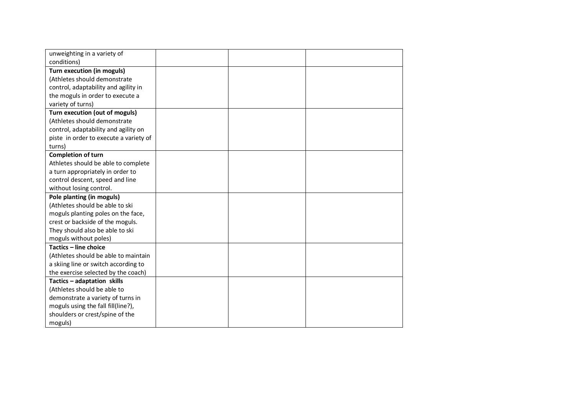| unweighting in a variety of            |  |  |
|----------------------------------------|--|--|
| conditions)                            |  |  |
| Turn execution (in moguls)             |  |  |
| (Athletes should demonstrate           |  |  |
| control, adaptability and agility in   |  |  |
| the moguls in order to execute a       |  |  |
| variety of turns)                      |  |  |
| Turn execution (out of moguls)         |  |  |
| (Athletes should demonstrate           |  |  |
| control, adaptability and agility on   |  |  |
| piste in order to execute a variety of |  |  |
| turns)                                 |  |  |
| <b>Completion of turn</b>              |  |  |
| Athletes should be able to complete    |  |  |
| a turn appropriately in order to       |  |  |
| control descent, speed and line        |  |  |
| without losing control.                |  |  |
| Pole planting (in moguls)              |  |  |
| (Athletes should be able to ski        |  |  |
| moguls planting poles on the face,     |  |  |
| crest or backside of the moguls.       |  |  |
| They should also be able to ski        |  |  |
| moguls without poles)                  |  |  |
| Tactics - line choice                  |  |  |
| (Athletes should be able to maintain   |  |  |
| a skiing line or switch according to   |  |  |
| the exercise selected by the coach)    |  |  |
| Tactics - adaptation skills            |  |  |
| (Athletes should be able to            |  |  |
| demonstrate a variety of turns in      |  |  |
| moguls using the fall fill(line?),     |  |  |
| shoulders or crest/spine of the        |  |  |
| moguls)                                |  |  |